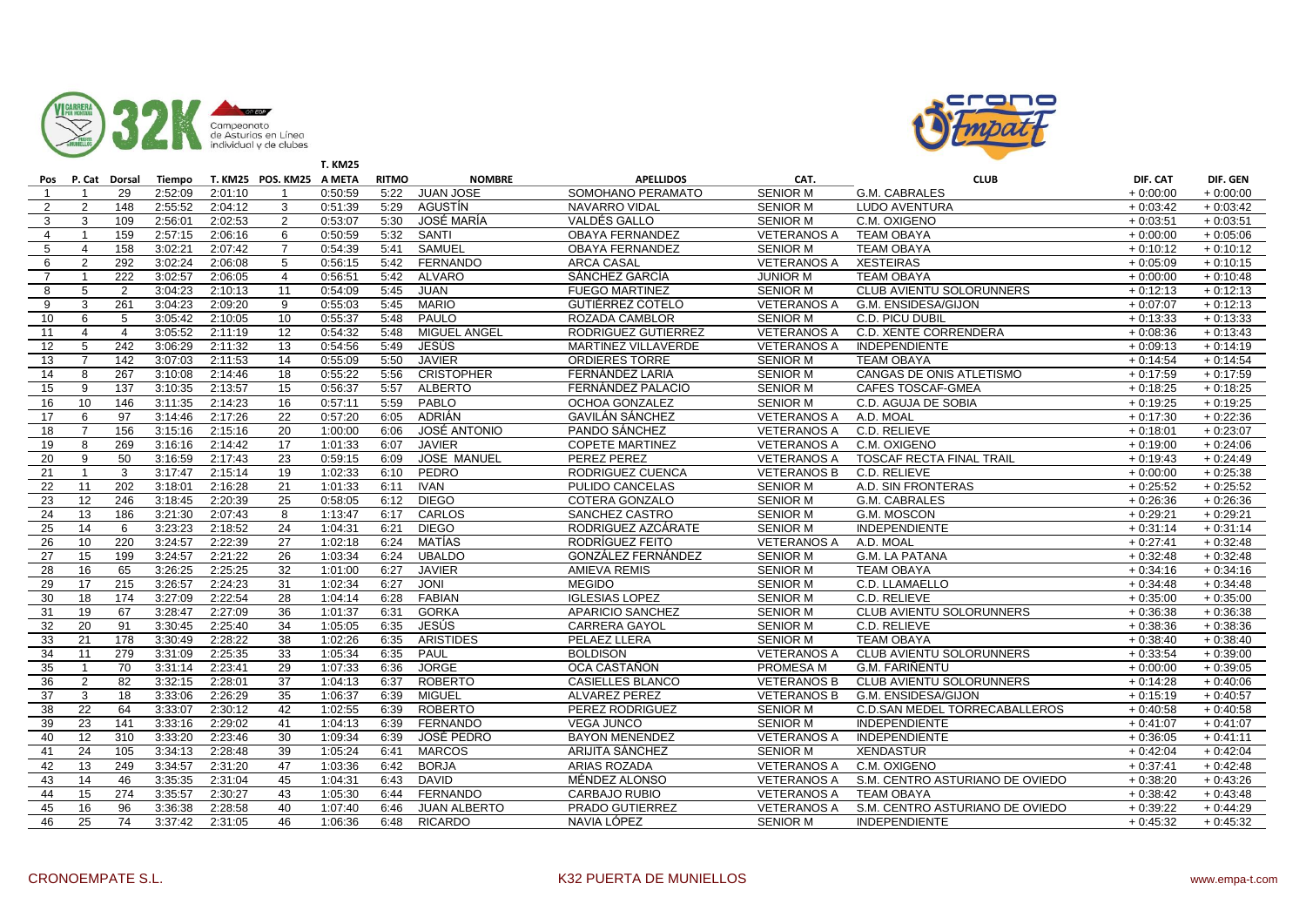



|                 |                |                   |               |                      |                          | <b>T. KM25</b> |              |                     |                         |                    |                                 |            |             |
|-----------------|----------------|-------------------|---------------|----------------------|--------------------------|----------------|--------------|---------------------|-------------------------|--------------------|---------------------------------|------------|-------------|
|                 |                | Pos P. Cat Dorsal | <b>Tiempo</b> |                      | T. KM25 POS. KM25 A META |                | <b>RITMO</b> | <b>NOMBRE</b>       | <b>APELLIDOS</b>        | CAT.               | <b>CLUB</b>                     | DIF. CAT   | DIF. GEN    |
| $\mathbf{1}$    | -1             | 29                | 2:52:09       | 2:01:10              | -1                       | 0:50:59        | 5:22         | <b>JUAN JOSE</b>    | SOMOHANO PERAMATO       | <b>SENIOR M</b>    | G.M. CABRALES                   | $+0:00:00$ | $+0:00:00$  |
| 2               | 2              | 148               | 2:55:52       | 2:04:12              | 3                        | 0:51:39        | 5:29         | AGUSTÍN             | <b>NAVARRO VIDAL</b>    | <b>SENIOR M</b>    | <b>LUDO AVENTURA</b>            | $+0:03:42$ | $+0:03:42$  |
| 3               | 3              | 109               | 2:56:01       | 2:02:53              | 2                        | 0:53:07        | 5:30         | JOSÉ MARÍA          | VALDÉS GALLO            | <b>SENIOR M</b>    | C.M. OXIGENO                    | $+0:03:51$ | $+0:03:51$  |
| $\overline{4}$  | $\mathbf{1}$   | 159               | 2:57:15       | 2:06:16              | 6                        | 0:50:59        | 5:32         | SANTI               | OBAYA FERNANDEZ         | <b>VETERANOS A</b> | TEAM OBAYA                      | $+0:00:00$ | $+0.05:06$  |
| 5               | $\overline{4}$ | 158               | 3:02:21       | 2:07:42              | $\overline{7}$           | 0:54:39        | 5:41         | SAMUEL              | OBAYA FERNANDEZ         | <b>SENIOR M</b>    | <b>TEAM OBAYA</b>               | $+0:10:12$ | $+0:10:12$  |
| 6               | $\mathcal{P}$  | 292               | 3:02:24       | 2:06:08              | 5                        | 0:56:15        | 5:42         | <b>FERNANDO</b>     | <b>ARCA CASAL</b>       | <b>VETERANOS A</b> | <b>XESTEIRAS</b>                | $+0:05:09$ | $+0:10:15$  |
| $\overline{7}$  |                | 222               | 3:02:57       | 2:06:05              | $\overline{4}$           | 0:56:51        | 5:42         | <b>ALVARO</b>       | SÁNCHEZ GARCÍA          | <b>JUNIOR M</b>    | <b>TEAM OBAYA</b>               | $+0:00:00$ | $+0:10:48$  |
| 8               | 5              | 2                 | 3:04:23       | 2:10:13              | 11                       | 0:54:09        | 5:45         | <b>JUAN</b>         | <b>FUEGO MARTINEZ</b>   | <b>SENIOR M</b>    | CLUB AVIENTU SOLORUNNERS        | $+0:12:13$ | $+0:12:13$  |
| 9               | 3              | 261               | 3:04:23       | 2:09:20              | 9                        | 0:55:03        | 5:45         | <b>MARIO</b>        | GUTIÉRREZ COTELO        | <b>VETERANOS A</b> | G.M. ENSIDESA/GIJON             | $+0:07:07$ | $+0:12:13$  |
| 10              | 6              | 5                 | 3:05:42       | 2:10:05              | 10                       | 0:55:37        | 5:48         | <b>PAULO</b>        | <b>ROZADA CAMBLOR</b>   | <b>SENIOR M</b>    | <b>C.D. PICU DUBIL</b>          | $+0:13:33$ | $+0:13:33$  |
| 11              | $\overline{4}$ | $\overline{4}$    | 3:05:52       | 2:11:19              | 12                       | 0:54:32        | 5:48         | <b>MIGUEL ANGEL</b> | RODRIGUEZ GUTIERREZ     | <b>VETERANOS A</b> | C.D. XENTE CORRENDERA           | $+0:08:36$ | $+0:13:43$  |
| 12              | 5              | 242               | 3:06:29       | $\overline{2:}11:32$ | 13                       | 0:54:56        | 5:49         | JESÚS               | MARTINEZ VILLAVERDE     | <b>VETERANOS A</b> | INDEPENDIENTE                   | $+0:09:13$ | $+ 0:14:19$ |
| 13              | $\overline{7}$ | 142               | 3:07:03       | 2:11:53              | 14                       | 0:55:09        | 5:50         | <b>JAVIER</b>       | <b>ORDIERES TORRE</b>   | <b>SENIOR M</b>    | <b>TEAM OBAYA</b>               | $+0:14:54$ | $+0:14:54$  |
| 14              | 8              | 267               | 3:10:08       | 2:14:46              | 18                       | 0:55:22        | 5:56         | <b>CRISTOPHER</b>   | FERNÁNDEZ LARIA         | <b>SENIOR M</b>    | CANGAS DE ONIS ATLETISMO        | $+0:17:59$ | $+0:17:59$  |
| 15              | 9              | 137               | 3:10:35       | 2:13:57              | 15                       | 0:56:37        | 5:57         | <b>ALBERTO</b>      | FERNÁNDEZ PALACIO       | <b>SENIOR M</b>    | <b>CAFES TOSCAF-GMEA</b>        | $+0:18:25$ | $+0:18:25$  |
| 16              | 10             | 146               | 3:11:35       | 2:14:23              | 16                       | 0:57:11        | 5:59         | PABLO               | OCHOA GONZALEZ          | <b>SENIOR M</b>    | C.D. AGUJA DE SOBIA             | $+0:19:25$ | $+0:19:25$  |
| 17              | 6              | 97                | 3:14:46       | 2:17:26              | 22                       | 0:57:20        | 6:05         | ADRIÁN              | <b>GAVILÁN SÁNCHEZ</b>  | <b>VETERANOS A</b> | A.D. MOAL                       | $+0:17:30$ | $+0:22:36$  |
| 18              | $\overline{7}$ | 156               | 3:15:16       | 2:15:16              | 20                       | 1:00:00        | 6:06         | JOSÉ ANTONIO        | PANDO SÁNCHEZ           | <b>VETERANOS A</b> | C.D. RELIEVE                    | $+0:18:01$ | $+0.23:07$  |
| 19              | 8              | 269               | 3:16:16       | 2:14:42              | 17                       | 1:01:33        | 6:07         | <b>JAVIER</b>       | <b>COPETE MARTINEZ</b>  | <b>VETERANOS A</b> | C.M. OXIGENO                    | $+0:19:00$ | $+0:24:06$  |
| 20              | 9              | 50                | 3:16:59       | 2:17:43              | 23                       | 0:59:15        | 6:09         | <b>JOSE MANUEL</b>  | PEREZ PEREZ             | <b>VETERANOS A</b> | <b>TOSCAF RECTA FINAL TRAIL</b> | $+0:19:43$ | $+0:24:49$  |
| 21              | $\mathbf{1}$   | 3                 | 3:17:47       | 2:15:14              | 19                       | 1:02:33        | 6:10         | PEDRO               | RODRIGUEZ CUENCA        | <b>VETERANOS B</b> | C.D. RELIEVE                    | $+0:00:00$ | $+0.25.38$  |
| 22              | 11             | 202               | 3:18:01       | 2:16:28              | 21                       | 1:01:33        | 6:11         | <b>IVAN</b>         | PULIDO CANCELAS         | <b>SENIOR M</b>    | A.D. SIN FRONTERAS              | $+0.25:52$ | $+0:25:52$  |
| 23              | 12             | 246               | 3:18:45       | 2:20:39              | 25                       | 0:58:05        | 6:12         | <b>DIEGO</b>        | <b>COTERA GONZALO</b>   | <b>SENIOR M</b>    | G.M. CABRALES                   | $+0.26:36$ | $+0.26:36$  |
| 24              | 13             | 186               | 3:21:30       | 2:07:43              | 8                        | 1:13:47        | 6:17         | <b>CARLOS</b>       | SANCHEZ CASTRO          | <b>SENIOR M</b>    | G.M. MOSCON                     | $+0:29:21$ | $+0:29:21$  |
| 25              | 14             | 6                 | 3:23:23       | 2:18:52              | 24                       | 1:04:31        | 6:21         | <b>DIEGO</b>        | RODRIGUEZ AZCÁRATE      | <b>SENIOR M</b>    | <b>INDEPENDIENTE</b>            | $+0:31:14$ | $+ 0:31:14$ |
| 26              | 10             | 220               | 3:24:57       | 2:22:39              | 27                       | 1:02:18        | 6:24         | <b>MATÍAS</b>       | RODRÍGUEZ FEITO         | <b>VETERANOS A</b> | A.D. MOAL                       | $+0.27:41$ | $+0.32:48$  |
| 27              | 15             | 199               | 3:24:57       | 2:21:22              | 26                       | 1:03:34        | 6:24         | <b>UBALDO</b>       | GONZÁLEZ FERNÁNDEZ      | <b>SENIOR M</b>    | G.M. LA PATANA                  | $+0:32:48$ | $+0.32:48$  |
| 28              | 16             | 65                | 3:26:25       | 2:25:25              | 32                       | 1:01:00        | 6:27         | <b>JAVIER</b>       | <b>AMIEVA REMIS</b>     | <b>SENIOR M</b>    | <b>TEAM OBAYA</b>               | $+0:34:16$ | $+0:34:16$  |
| 29              | 17             | 215               | 3:26:57       | 2:24:23              | 31                       | 1:02:34        | 6:27         | <b>JONI</b>         | <b>MEGIDO</b>           | <b>SENIOR M</b>    | C.D. LLAMAELLO                  | $+0.34:48$ | $+0.34:48$  |
| 30              | 18             | 174               | 3:27:09       | 2:22:54              | 28                       | 1:04:14        | 6:28         | <b>FABIAN</b>       | <b>IGLESIAS LOPEZ</b>   | <b>SENIOR M</b>    | C.D. RELIEVE                    | $+0:35:00$ | $+0.35:00$  |
| 31              | 19             | 67                | 3:28:47       | 2:27:09              | 36                       | 1:01:37        | 6:31         | <b>GORKA</b>        | <b>APARICIO SANCHEZ</b> | <b>SENIOR M</b>    | CLUB AVIENTU SOLORUNNERS        | $+0.36:38$ | $+0.36:38$  |
| $\overline{32}$ | 20             | 91                | 3:30:45       | 2:25:40              | 34                       | 1:05:05        | 6:35         | <b>JESÚS</b>        | <b>CARRERA GAYOL</b>    | <b>SENIOR M</b>    | C.D. RELIEVE                    | $+0.38:36$ | $+0:38:36$  |
| 33              | 21             | 178               | 3:30:49       | 2:28:22              | 38                       | 1:02:26        | 6:35         | <b>ARISTIDES</b>    | PELAEZ LLERA            | <b>SENIOR M</b>    | <b>TEAM OBAYA</b>               | $+0:38:40$ | $+0:38:40$  |
| 34              | 11             | 279               | 3:31:09       | 2:25:35              | 33                       | 1:05:34        | 6:35         | PAUL                | <b>BOLDISON</b>         | <b>VETERANOS A</b> | CLUB AVIENTU SOLORUNNERS        | $+0:33:54$ | $+0.39:00$  |
| 35              | -1             | 70                | 3:31:14       | 2:23:41              | 29                       | 1:07:33        | 6:36         | <b>JORGE</b>        | OCA CASTAÑON            | PROMESA M          | <b>G.M. FARIÑENTU</b>           | $+0:00:00$ | $+0.39:05$  |
| 36              | 2              | 82                | 3:32:15       | 2:28:01              | 37                       | 1:04:13        | 6:37         | <b>ROBERTO</b>      | CASIELLES BLANCO        | <b>VETERANOS B</b> | CLUB AVIENTU SOLORUNNERS        | $+0:14:28$ | $+0:40:06$  |
| 37              | 3              | 18                | 3:33:06       | 2:26:29              | 35                       | 1:06:37        | 6:39         | <b>MIGUEL</b>       | <b>ALVAREZ PEREZ</b>    | <b>VETERANOS B</b> | G.M. ENSIDESA/GIJON             | $+0:15:19$ | $+0.40:57$  |
| 38              | 22             | 64                | 3:33:07       | 2:30:12              | 42                       | 1:02:55        | 6:39         | <b>ROBERTO</b>      | PEREZ RODRIGUEZ         | <b>SENIOR M</b>    | C.D.SAN MEDEL TORRECABALLEROS   | $+0:40:58$ | $+0.40:58$  |
| 39              | 23             | 141               | 3:33:16       | 2:29:02              | 41                       | 1:04:13        | 6:39         | <b>FERNANDO</b>     | <b>VEGA JUNCO</b>       | <b>SENIOR M</b>    | <b>INDEPENDIENTE</b>            | $+0:41:07$ | $+0:41:07$  |
| 40              | 12             | 310               | 3:33:20       | 2:23:46              | 30                       | 1:09:34        | 6:39         | <b>JOSÉ PEDRO</b>   | <b>BAYON MENENDEZ</b>   | <b>VETERANOS A</b> | <b>INDEPENDIENTE</b>            | $+0:36:05$ | $+0:41:11$  |
| 41              | 24             | 105               | 3:34:13       | 2:28:48              | 39                       | 1:05:24        | 6:41         | <b>MARCOS</b>       | ARIJITA SÁNCHEZ         | <b>SENIOR M</b>    | <b>XENDASTUR</b>                | $+0.42:04$ | $+0.42:04$  |
| 42              | 13             | 249               | 3:34:57       | 2:31:20              | 47                       | 1:03:36        | 6:42         | <b>BORJA</b>        | ARIAS ROZADA            | <b>VETERANOS A</b> | C.M. OXIGENO                    | $+0:37:41$ | $+0.42:48$  |
| 43              | 14             | 46                | 3:35:35       | 2:31:04              | 45                       | 1:04:31        | 6:43         | <b>DAVID</b>        | MÉNDEZ ALONSO           | <b>VETERANOS A</b> | S.M. CENTRO ASTURIANO DE OVIEDO | $+0.38:20$ | $+0.43:26$  |
| 44              | 15             | 274               | 3:35:57       | 2:30:27              | 43                       | 1:05:30        | 6:44         | <b>FERNANDO</b>     | <b>CARBAJO RUBIO</b>    | <b>VETERANOS A</b> | <b>TEAM OBAYA</b>               | $+0:38:42$ | $+0.43:48$  |
| 45              | 16             | 96                | 3:36:38       | 2:28:58              | 40                       | 1:07:40        | 6:46         | <b>JUAN ALBERTO</b> | PRADO GUTIERREZ         | <b>VETERANOS A</b> | S.M. CENTRO ASTURIANO DE OVIEDO | $+0.39:22$ | $+0.44:29$  |
| 46              | 25             | 74                | 3:37:42       | 2:31:05              | 46                       | 1:06:36        | 6:48         | <b>RICARDO</b>      | NAVIA LÓPEZ             | <b>SENIOR M</b>    | <b>INDEPENDIENTE</b>            | $+0.45:32$ | $+0.45.32$  |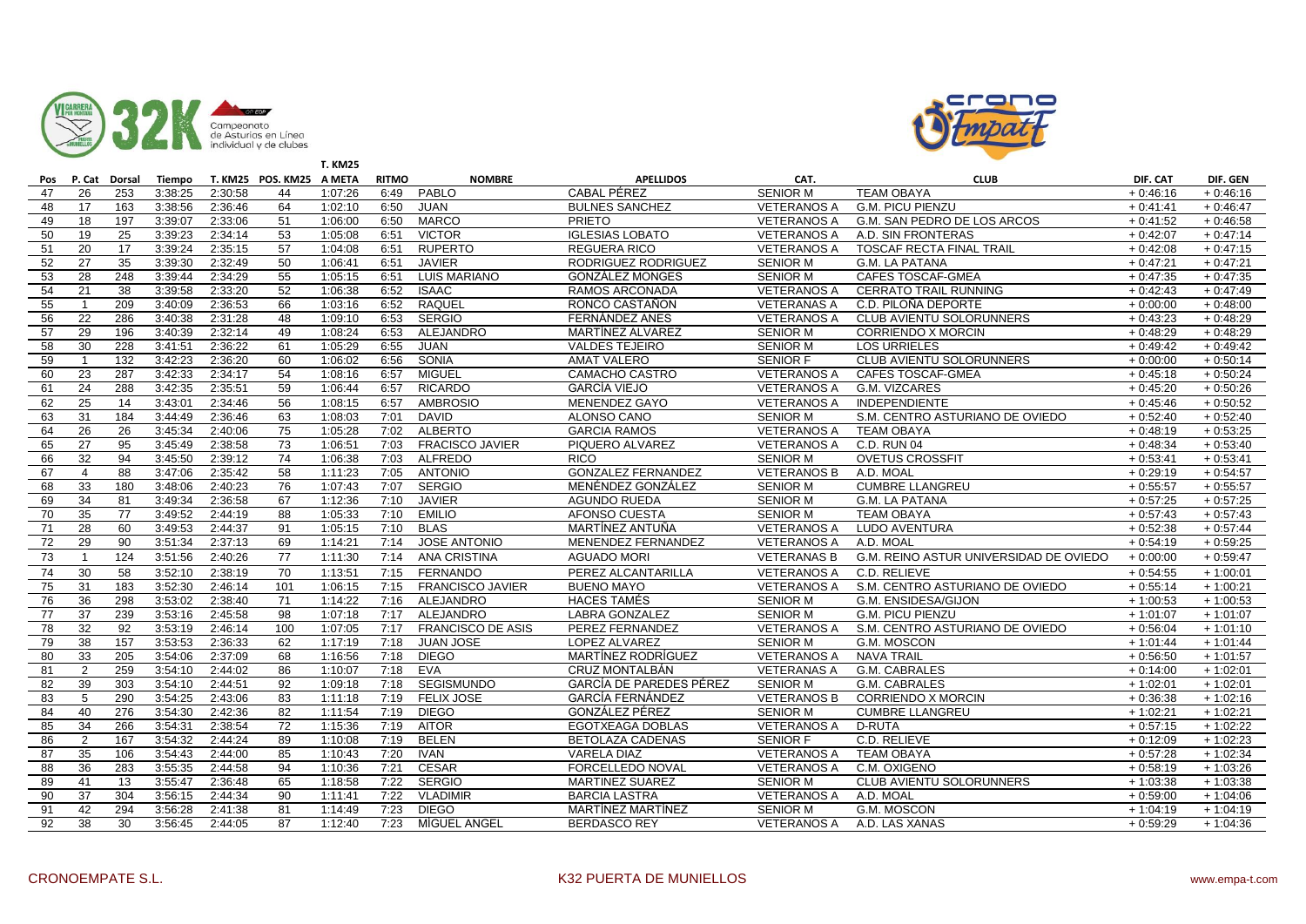



|     |                |               |               |         |                          | <b>T. KM25</b> |              |                          |                           |                    |                                        |            |            |
|-----|----------------|---------------|---------------|---------|--------------------------|----------------|--------------|--------------------------|---------------------------|--------------------|----------------------------------------|------------|------------|
| Pos |                | P. Cat Dorsal | <b>Tiempo</b> |         | T. KM25 POS. KM25 A META |                | <b>RITMO</b> | <b>NOMBRE</b>            | <b>APELLIDOS</b>          | CAT.               | <b>CLUB</b>                            | DIF. CAT   | DIF. GEN   |
| 47  | 26             | 253           | 3:38:25       | 2:30:58 | 44                       | 1:07:26        | 6:49         | PABLO                    | <b>CABAL PÉREZ</b>        | <b>SENIOR M</b>    | <b>TEAM OBAYA</b>                      | $+0.46:16$ | $+0.46:16$ |
| 48  | 17             | 163           | 3:38:56       | 2:36:46 | 64                       | 1:02:10        | 6:50         | <b>JUAN</b>              | <b>BULNES SANCHEZ</b>     | <b>VETERANOS A</b> | <b>G.M. PICU PIENZU</b>                | $+0.41:41$ | $+0.46:47$ |
| 49  | 18             | 197           | 3:39:07       | 2:33:06 | 51                       | 1:06:00        | 6:50         | <b>MARCO</b>             | <b>PRIETO</b>             | <b>VETERANOS A</b> | G.M. SAN PEDRO DE LOS ARCOS            | $+0:41:52$ | $+0.46:58$ |
| 50  | 19             | 25            | 3:39:23       | 2:34:14 | 53                       | 1:05:08        | 6:51         | <b>VICTOR</b>            | <b>IGLESIAS LOBATO</b>    | <b>VETERANOS A</b> | A.D. SIN FRONTERAS                     | $+0.42:07$ | $+0.47:14$ |
| 51  | 20             | 17            | 3:39:24       | 2:35:15 | 57                       | 1:04:08        | 6:51         | <b>RUPERTO</b>           | <b>REGUERA RICO</b>       | <b>VETERANOS A</b> | <b>TOSCAF RECTA FINAL TRAIL</b>        | $+0.42:08$ | $+0.47:15$ |
| 52  | 27             | 35            | 3:39:30       | 2:32:49 | 50                       | 1:06:41        | 6:51         | <b>JAVIER</b>            | RODRIGUEZ RODRIGUEZ       | <b>SENIOR M</b>    | <b>G.M. LA PATANA</b>                  | $+0.47:21$ | $+0.47:21$ |
| 53  | 28             | 248           | 3:39:44       | 2:34:29 | 55                       | 1:05:15        | 6:51         | LUIS MARIANO             | <b>GONZÁLEZ MONGES</b>    | <b>SENIOR M</b>    | <b>CAFES TOSCAF-GMEA</b>               | $+0.47:35$ | $+0.47:35$ |
| 54  | 21             | 38            | 3:39:58       | 2:33:20 | 52                       | 1:06:38        | 6:52         | <b>ISAAC</b>             | RAMOS ARCONADA            | <b>VETERANOS A</b> | <b>CERRATO TRAIL RUNNING</b>           | $+0.42:43$ | $+0.47:49$ |
| 55  |                | 209           | 3:40:09       | 2:36:53 | 66                       | 1:03:16        | 6:52         | <b>RAQUEL</b>            | RONCO CASTAÑON            | <b>VETERANAS A</b> | C.D. PILOÑA DEPORTE                    | $+0:00:00$ | $+0.48:00$ |
| 56  | 22             | 286           | 3:40:38       | 2:31:28 | 48                       | 1:09:10        | 6:53         | <b>SERGIO</b>            | FERNÁNDEZ ANES            | <b>VETERANOS A</b> | CLUB AVIENTU SOLORUNNERS               | $+0.43:23$ | $+0:48:29$ |
| 57  | 29             | 196           | 3:40:39       | 2:32:14 | 49                       | 1:08:24        | 6:53         | ALEJANDRO                | MARTÍNEZ ALVAREZ          | <b>SENIOR M</b>    | <b>CORRIENDO X MORCIN</b>              | $+0.48:29$ | $+0.48:29$ |
| 58  | 30             | 228           | 3:41:51       | 2:36:22 | 61                       | 1:05:29        | 6:55         | <b>JUAN</b>              | <b>VALDES TEJEIRO</b>     | <b>SENIOR M</b>    | <b>LOS URRIELES</b>                    | $+0.49:42$ | $+0.49:42$ |
| 59  | $\overline{1}$ | 132           | 3:42:23       | 2:36:20 | 60                       | 1:06:02        | 6:56         | <b>SONIA</b>             | <b>AMAT VALERO</b>        | <b>SENIOR F</b>    | CLUB AVIENTU SOLORUNNERS               | $+0:00:00$ | $+0.50:14$ |
| 60  | 23             | 287           | 3:42:33       | 2:34:17 | 54                       | 1:08:16        | 6:57         | <b>MIGUEL</b>            | CAMACHO CASTRO            | <b>VETERANOS A</b> | CAFES TOSCAF-GMEA                      | $+0.45:18$ | $+0.50:24$ |
| 61  | 24             | 288           | 3:42:35       | 2:35:51 | 59                       | 1:06:44        | 6:57         | <b>RICARDO</b>           | <b>GARCÍA VIEJO</b>       | <b>VETERANOS A</b> | G.M. VIZCARES                          | $+0.45:20$ | $+0:50:26$ |
| 62  | 25             | 14            | 3:43:01       | 2:34:46 | 56                       | 1:08:15        | 6:57         | <b>AMBROSIO</b>          | MENENDEZ GAYO             | <b>VETERANOS A</b> | <b>INDEPENDIENTE</b>                   | $+0.45:46$ | $+0.50:52$ |
| 63  | 31             | 184           | 3:44:49       | 2:36:46 | 63                       | 1:08:03        | 7:01         | <b>DAVID</b>             | ALONSO CANO               | <b>SENIOR M</b>    | S.M. CENTRO ASTURIANO DE OVIEDO        | $+0:52:40$ | $+0:52:40$ |
| 64  | 26             | 26            | 3:45:34       | 2:40:06 | 75                       | 1:05:28        | 7:02         | <b>ALBERTO</b>           | <b>GARCIA RAMOS</b>       | <b>VETERANOS A</b> | <b>TEAM OBAYA</b>                      | $+0.48:19$ | $+0.53:25$ |
| 65  | 27             | 95            | 3:45:49       | 2:38:58 | 73                       | 1:06:51        | 7:03         | <b>FRACISCO JAVIER</b>   | PIQUERO ALVAREZ           | <b>VETERANOS A</b> | C.D. RUN 04                            | $+0.48:34$ | $+0.53:40$ |
| 66  | 32             | 94            | 3:45:50       | 2:39:12 | 74                       | 1:06:38        | 7:03         | <b>ALFREDO</b>           | <b>RICO</b>               | <b>SENIOR M</b>    | <b>OVETUS CROSSFIT</b>                 | $+0.53:41$ | $+0.53:41$ |
| 67  | $\overline{4}$ | 88            | 3:47:06       | 2:35:42 | 58                       | 1:11:23        | 7:05         | <b>ANTONIO</b>           | <b>GONZALEZ FERNANDEZ</b> | <b>VETERANOS B</b> | A.D. MOAL                              | $+0.29:19$ | $+0.54:57$ |
| 68  | 33             | 180           | 3:48:06       | 2:40:23 | 76                       | 1:07:43        | 7:07         | <b>SERGIO</b>            | MENÉNDEZ GONZÁLEZ         | <b>SENIOR M</b>    | <b>CUMBRE LLANGREU</b>                 | $+0.55:57$ | $+0.55:57$ |
| 69  | 34             | 81            | 3:49:34       | 2:36:58 | 67                       | 1:12:36        | 7:10         | <b>JAVIER</b>            | <b>AGUNDO RUEDA</b>       | <b>SENIOR M</b>    | <b>G.M. LA PATANA</b>                  | $+0:57:25$ | $+0:57:25$ |
| 70  | 35             | 77            | 3:49:52       | 2:44:19 | 88                       | 1:05:33        | 7:10         | <b>EMILIO</b>            | AFONSO CUESTA             | <b>SENIOR M</b>    | <b>TEAM OBAYA</b>                      | $+0.57:43$ | $+0.57:43$ |
| 71  | 28             | 60            | 3:49:53       | 2:44:37 | 91                       | 1:05:15        | 7:10         | <b>BLAS</b>              | MARTINEZ ANTUÑA           | <b>VETERANOS A</b> | <b>LUDO AVENTURA</b>                   | $+0.52:38$ | $+0.57:44$ |
| 72  | 29             | 90            | 3:51:34       | 2:37:13 | 69                       | 1:14:21        | 7:14         | <b>JOSE ANTONIO</b>      | MENENDEZ FERNANDEZ        | <b>VETERANOS A</b> | A.D. MOAL                              | $+0.54:19$ | $+0.59:25$ |
| 73  | $\mathbf{1}$   | 124           | 3:51:56       | 2:40:26 | 77                       | 1:11:30        | 7:14         | <b>ANA CRISTINA</b>      | <b>AGUADO MORI</b>        | <b>VETERANAS B</b> | G.M. REINO ASTUR UNIVERSIDAD DE OVIEDO | $+0:00:00$ | $+0.59:47$ |
| 74  | 30             | 58            | 3:52:10       | 2:38:19 | 70                       | 1:13:51        |              | 7:15 FERNANDO            | PEREZ ALCANTARILLA        | <b>VETERANOS A</b> | C.D. RELIEVE                           | $+0.54:55$ | $+1:00:01$ |
| 75  | 31             | 183           | 3:52:30       | 2:46:14 | 101                      | 1:06:15        | 7:15         | <b>FRANCISCO JAVIER</b>  | <b>BUENO MAYO</b>         | <b>VETERANOS A</b> | S.M. CENTRO ASTURIANO DE OVIEDO        | $+0:55:14$ | $+1:00:21$ |
| 76  | 36             | 298           | 3:53:02       | 2:38:40 | 71                       | 1:14:22        |              | 7:16 ALEJANDRO           | <b>HACES TAMÉS</b>        | <b>SENIOR M</b>    | G.M. ENSIDESA/GIJON                    | $+1:00:53$ | $+1:00:53$ |
| 77  | 37             | 239           | 3:53:16       | 2:45:58 | 98                       | 1:07:18        | 7:17         | ALEJANDRO                | <b>LABRA GONZALEZ</b>     | <b>SENIOR M</b>    | <b>G.M. PICU PIENZU</b>                | $+1:01:07$ | $+1:01:07$ |
| 78  | 32             | 92            | 3:53:19       | 2:46:14 | 100                      | 1:07:05        | 7:17         | <b>FRANCISCO DE ASIS</b> | PEREZ FERNANDEZ           | <b>VETERANOS A</b> | S.M. CENTRO ASTURIANO DE OVIEDO        | $+0:56:04$ | $+1:01:10$ |
| 79  | 38             | 157           | 3:53:53       | 2:36:33 | 62                       | 1:17:19        | 7:18         | <b>JUAN JOSE</b>         | <b>LOPEZ ALVAREZ</b>      | <b>SENIOR M</b>    | G.M. MOSCON                            | $+1:01:44$ | $+1:01:44$ |
| 80  | 33             | 205           | 3:54:06       | 2:37:09 | 68                       | 1:16:56        | 7:18         | <b>DIEGO</b>             | MARTÍNEZ RODRÍGUEZ        | <b>VETERANOS A</b> | <b>NAVA TRAIL</b>                      | $+0.56:50$ | $+1:01:57$ |
| 81  | 2              | 259           | 3:54:10       | 2:44:02 | 86                       | 1:10:07        | 7:18         | <b>EVA</b>               | <b>CRUZ MONTALBÁN</b>     | <b>VETERANAS A</b> | G.M. CABRALES                          | $+0:14:00$ | $+1:02:01$ |
| 82  | 39             | 303           | 3:54:10       | 2:44:51 | 92                       | 1:09:18        | 7:18         | <b>SEGISMUNDO</b>        | GARCÍA DE PAREDES PÉREZ   | <b>SENIOR M</b>    | <b>G.M. CABRALES</b>                   | $+1:02:01$ | $+1:02:01$ |
| 83  | 5              | 290           | 3:54:25       | 2:43:06 | 83                       | 1:11:18        | 7:19         | <b>FELIX JOSE</b>        | <b>GARCÍA FERNÁNDEZ</b>   | <b>VETERANOS B</b> | <b>CORRIENDO X MORCIN</b>              | $+0.36.38$ | $+1:02:16$ |
| 84  | 40             | 276           | 3:54:30       | 2:42:36 | 82                       | 1:11:54        | 7:19         | <b>DIEGO</b>             | GONZÁLEZ PÉREZ            | <b>SENIOR M</b>    | <b>CUMBRE LLANGREU</b>                 | $+1:02:21$ | $+1:02:21$ |
| 85  | 34             | 266           | 3:54:31       | 2:38:54 | 72                       | 1:15:36        | 7:19         | <b>AITOR</b>             | EGOTXEAGA DOBLAS          | <b>VETERANOS A</b> | D-RUTA                                 | $+0.57:15$ | $+1:02:22$ |
| 86  | 2              | 167           | 3:54:32       | 2:44:24 | 89                       | 1:10:08        | 7:19         | <b>BELEN</b>             | <b>BETOLAZA CADENAS</b>   | <b>SENIOR F</b>    | C.D. RELIEVE                           | $+0:12:09$ | $+1:02:23$ |
| 87  | 35             | 106           | 3:54:43       | 2:44:00 | 85                       | 1:10:43        | 7:20         | <b>IVAN</b>              | <b>VARELA DIAZ</b>        | <b>VETERANOS A</b> | <b>TEAM OBAYA</b>                      | $+0.57:28$ | $+1:02:34$ |
| 88  | 36             | 283           | 3:55:35       | 2:44:58 | 94                       | 1:10:36        | 7:21         | <b>CESAR</b>             | FORCELLEDO NOVAL          | <b>VETERANOS A</b> | C.M. OXIGENO                           | $+0.58:19$ | $+1:03:26$ |
| 89  | 41             | 13            | 3:55:47       | 2:36:48 | 65                       | 1:18:58        | 7:22         | <b>SERGIO</b>            | <b>MARTINEZ SUAREZ</b>    | <b>SENIOR M</b>    | CLUB AVIENTU SOLORUNNERS               | $+1:03:38$ | $+1:03:38$ |
| 90  | 37             | 304           | 3:56:15       | 2:44:34 | 90                       | 1:11:41        | 7:22         | <b>VLADIMIR</b>          | <b>BARCIA LASTRA</b>      | <b>VETERANOS A</b> | A.D. MOAL                              | $+0.59:00$ | $+1:04:06$ |
| 91  | 42             | 294           | 3:56:28       | 2:41:38 | 81                       | 1:14:49        | 7:23         | <b>DIEGO</b>             | <b>MARTÍNEZ MARTÍNEZ</b>  | <b>SENIOR M</b>    | G.M. MOSCON                            | $+1:04:19$ | $+1:04:19$ |
| 92  | 38             | 30            | 3:56:45       | 2:44:05 | 87                       | 1:12:40        | 7:23         | MÍGUEL ANGEL             | <b>BERDASCO REY</b>       | <b>VETERANOS A</b> | A.D. LAS XANAS                         | $+0.59:29$ | $+1:04:36$ |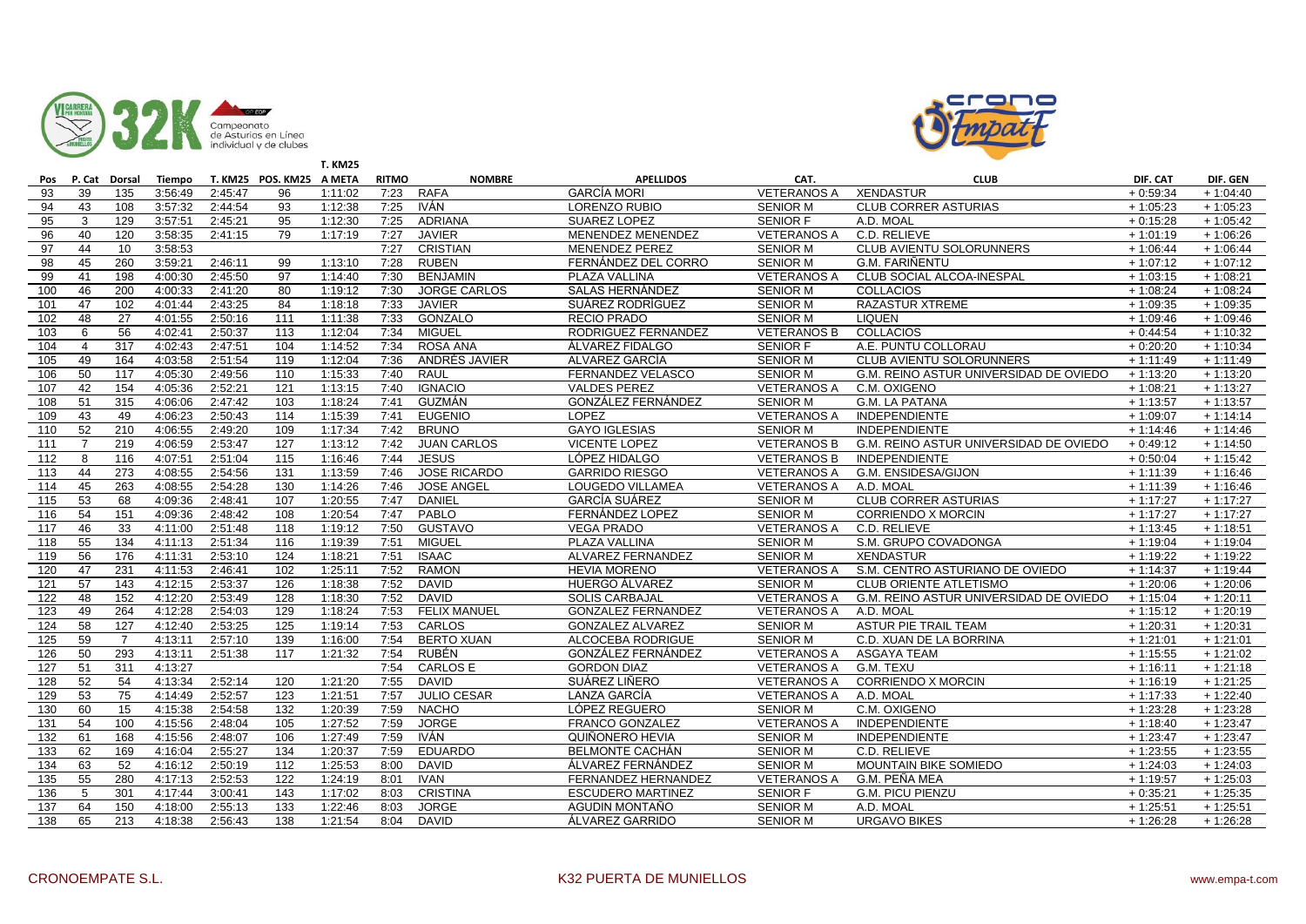



|     |                |                |         |         |                          | <b>T. KM25</b> |              |                     |                           |                    |                                        |            |            |
|-----|----------------|----------------|---------|---------|--------------------------|----------------|--------------|---------------------|---------------------------|--------------------|----------------------------------------|------------|------------|
| Pos |                | P. Cat Dorsal  | Tiempo  |         | T. KM25 POS. KM25 A META |                | <b>RITMO</b> | <b>NOMBRE</b>       | <b>APELLIDOS</b>          | CAT.               | <b>CLUB</b>                            | DIF. CAT   | DIF. GEN   |
| 93  | 39             | 135            | 3:56:49 | 2:45:47 | 96                       | 1:11:02        | 7:23         | <b>RAFA</b>         | <b>GARCÍA MORI</b>        | <b>VETERANOS A</b> | <b>XENDASTUR</b>                       | $+0:59:34$ | $+1:04:40$ |
| 94  | 43             | 108            | 3:57:32 | 2:44:54 | 93                       | 1:12:38        | 7:25         | <b>IVÁN</b>         | <b>LORENZO RUBIO</b>      | <b>SENIOR M</b>    | <b>CLUB CORRER ASTURIAS</b>            | $+1:05:23$ | $+1:05:23$ |
| 95  | 3              | 129            | 3:57:51 | 2:45:21 | 95                       | 1:12:30        | 7:25         | ADRIANA             | SUAREZ LOPEZ              | SENIOR F           | A.D. MOAL                              | $+0:15:28$ | $+1:05:42$ |
| 96  | 40             | 120            | 3:58:35 | 2:41:15 | 79                       | 1:17:19        | 7:27         | <b>JAVIER</b>       | MENENDEZ MENENDEZ         | <b>VETERANOS A</b> | C.D. RELIEVE                           | $+1:01:19$ | $+1:06:26$ |
| 97  | 44             | 10             | 3:58:53 |         |                          |                | 7:27         | <b>CRISTIAN</b>     | <b>MENENDEZ PEREZ</b>     | <b>SENIOR M</b>    | CLUB AVIENTU SOLORUNNERS               | $+1:06:44$ | $+1:06:44$ |
| 98  | 45             | 260            | 3:59:21 | 2:46:11 | 99                       | 1:13:10        | 7:28         | <b>RUBEN</b>        | FERNÁNDEZ DEL CORRO       | <b>SENIOR M</b>    | <b>G.M. FARIÑENTU</b>                  | $+1:07:12$ | $+1:07:12$ |
| 99  | 41             | 198            | 4:00:30 | 2:45:50 | 97                       | 1:14:40        | 7:30         | <b>BENJAMIN</b>     | PLAZA VALLINA             | <b>VETERANOS A</b> | CLUB SOCIAL ALCOA-INESPAL              | $+1:03:15$ | $+1:08:21$ |
| 100 | 46             | 200            | 4:00:33 | 2:41:20 | 80                       | 1:19:12        | 7:30         | <b>JORGE CARLOS</b> | <b>SALAS HERNÁNDEZ</b>    | <b>SENIOR M</b>    | <b>COLLACIOS</b>                       | $+1:08:24$ | $+1:08:24$ |
| 101 | 47             | 102            | 4:01:44 | 2:43:25 | 84                       | 1:18:18        | 7:33         | <b>JAVIER</b>       | SUÁREZ RODRÍGUEZ          | <b>SENIOR M</b>    | <b>RAZASTUR XTREME</b>                 | $+1:09:35$ | $+1:09:35$ |
| 102 | 48             | 27             | 4:01:55 | 2:50:16 | 111                      | 1:11:38        | 7:33         | GONZALO             | <b>RECIO PRADO</b>        | <b>SENIOR M</b>    | <b>LIQUEN</b>                          | $+1:09:46$ | $+1:09:46$ |
| 103 | 6              | 56             | 4:02:41 | 2:50:37 | 113                      | 1:12:04        | 7:34         | <b>MIGUEL</b>       | RODRIGUEZ FERNANDEZ       | <b>VETERANOS B</b> | <b>COLLACIOS</b>                       | $+0.44:54$ | $+1:10:32$ |
| 104 | $\overline{4}$ | 317            | 4:02:43 | 2:47:51 | 104                      | 1:14:52        | 7:34         | <b>ROSA ANA</b>     | ÁLVAREZ FIDALGO           | <b>SENIOR F</b>    | A.E. PUNTU COLLORAU                    | $+0.20:20$ | $+1:10:34$ |
| 105 | 49             | 164            | 4:03:58 | 2:51:54 | 119                      | 1:12:04        | 7:36         | ANDRÉS JAVIER       | ALVAREZ GARCÍA            | <b>SENIOR M</b>    | CLUB AVIENTU SOLORUNNERS               | $+1:11:49$ | $+1:11:49$ |
| 106 | 50             | 117            | 4:05:30 | 2:49:56 | 110                      | 1:15:33        | 7:40         | RAUL                | FERNANDEZ VELASCO         | <b>SENIOR M</b>    | G.M. REINO ASTUR UNIVERSIDAD DE OVIEDO | $+1:13:20$ | $+1:13:20$ |
| 107 | 42             | 154            | 4:05:36 | 2:52:21 | 121                      | 1:13:15        | 7:40         | <b>IGNACIO</b>      | <b>VALDES PEREZ</b>       | <b>VETERANOS A</b> | C.M. OXIGENO                           | $+1:08:21$ | $+1:13:27$ |
| 108 | 51             | 315            | 4:06:06 | 2:47:42 | 103                      | 1:18:24        | 7:41         | <b>GUZMÁN</b>       | <b>GONZÁLEZ FERNÁNDEZ</b> | <b>SENIOR M</b>    | <b>G.M. LA PATANA</b>                  | $+1:13:57$ | $+1:13:57$ |
| 109 | 43             | 49             | 4:06:23 | 2:50:43 | 114                      | 1:15:39        | 7:41         | <b>EUGENIO</b>      | LOPEZ                     | <b>VETERANOS A</b> | <b>INDEPENDIENTE</b>                   | $+1:09:07$ | $+1:14:14$ |
| 110 | 52             | 210            | 4:06:55 | 2:49:20 | 109                      | 1:17:34        | 7:42         | <b>BRUNO</b>        | <b>GAYO IGLESIAS</b>      | <b>SENIOR M</b>    | <b>INDEPENDIENTE</b>                   | $+1:14:46$ | $+1:14:46$ |
| 111 | $\overline{7}$ | 219            | 4:06:59 | 2:53:47 | 127                      | 1:13:12        | 7:42         | <b>JUAN CARLOS</b>  | <b>VICENTE LOPEZ</b>      | <b>VETERANOS B</b> | G.M. REINO ASTUR UNIVERSIDAD DE OVIEDO | $+0.49:12$ | $+1:14:50$ |
| 112 | 8              | 116            | 4:07:51 | 2:51:04 | 115                      | 1:16:46        | 7:44         | <b>JESUS</b>        | LÓPEZ HIDALGO             | <b>VETERANOS B</b> | <b>INDEPENDIENTE</b>                   | $+0.50:04$ | $+1:15:42$ |
| 113 | 44             | 273            | 4:08:55 | 2:54:56 | 131                      | 1:13:59        | 7:46         | <b>JOSE RICARDO</b> | <b>GARRIDO RIESGO</b>     | <b>VETERANOS A</b> | G.M. ENSIDESA/GIJON                    | $+1:11:39$ | $+1:16:46$ |
| 114 | 45             | 263            | 4:08:55 | 2:54:28 | 130                      | 1:14:26        | 7:46         | <b>JOSE ANGEL</b>   | LOUGEDO VILLAMEA          | <b>VETERANOS A</b> | A.D. MOAL                              | $+1:11:39$ | $+1:16:46$ |
| 115 | 53             | 68             | 4:09:36 | 2:48:41 | 107                      | 1:20:55        | 7:47         | <b>DANIEL</b>       | GARCÍA SUÁREZ             | <b>SENIOR M</b>    | <b>CLUB CORRER ASTURIAS</b>            | $+1:17:27$ | $+1:17:27$ |
| 116 | 54             | 151            | 4:09:36 | 2:48:42 | 108                      | 1:20:54        | 7:47         | PABLO               | FERNÁNDEZ LOPEZ           | <b>SENIOR M</b>    | <b>CORRIENDO X MORCIN</b>              | $+1:17:27$ | $+1:17:27$ |
| 117 | 46             | 33             | 4:11:00 | 2:51:48 | 118                      | 1:19:12        | 7:50         | <b>GUSTAVO</b>      | <b>VEGA PRADO</b>         | <b>VETERANOS A</b> | C.D. RELIEVE                           | $+1:13:45$ | $+1:18:51$ |
| 118 | 55             | 134            | 4:11:13 | 2:51:34 | 116                      | 1:19:39        | 7:51         | <b>MIGUEL</b>       | PLAZA VALLINA             | <b>SENIOR M</b>    | S.M. GRUPO COVADONGA                   | $+1:19:04$ | $+1:19:04$ |
| 119 | 56             | 176            | 4:11:31 | 2:53:10 | 124                      | 1:18:21        | 7:51         | <b>ISAAC</b>        | ALVAREZ FERNANDEZ         | <b>SENIOR M</b>    | <b>XENDASTUR</b>                       | $+1:19:22$ | $+1:19:22$ |
| 120 | 47             | 231            | 4:11:53 | 2:46:41 | 102                      | 1:25:11        | 7:52         | <b>RAMON</b>        | <b>HEVIA MORENO</b>       | <b>VETERANOS A</b> | S.M. CENTRO ASTURIANO DE OVIEDO        | $+1:14:37$ | $+1:19:44$ |
| 121 | 57             | 143            | 4:12:15 | 2:53:37 | 126                      | 1:18:38        | 7:52         | <b>DAVID</b>        | HUERGO ÁLVAREZ            | <b>SENIOR M</b>    | <b>CLUB ORIENTE ATLETISMO</b>          | $+1:20:06$ | $+1:20:06$ |
| 122 | 48             | 152            | 4:12:20 | 2:53:49 | 128                      | 1:18:30        | 7:52         | <b>DAVID</b>        | <b>SOLIS CARBAJAL</b>     | <b>VETERANOS A</b> | G.M. REINO ASTUR UNIVERSIDAD DE OVIEDO | $+1:15:04$ | $+1:20:11$ |
| 123 | 49             | 264            | 4:12:28 | 2:54:03 | 129                      | 1:18:24        | 7:53         | <b>FELIX MANUEL</b> | <b>GONZALEZ FERNANDEZ</b> | <b>VETERANOS A</b> | A.D. MOAL                              | $+1:15:12$ | $+1:20:19$ |
| 124 | 58             | 127            | 4:12:40 | 2:53:25 | 125                      | 1:19:14        | 7:53         | CARLOS              | <b>GONZALEZ ALVAREZ</b>   | <b>SENIOR M</b>    | ASTUR PIE TRAIL TEAM                   | $+1:20:31$ | $+1:20:31$ |
| 125 | 59             | $\overline{7}$ | 4:13:11 | 2:57:10 | 139                      | 1:16:00        | 7:54         | <b>BERTO XUAN</b>   | ALCOCEBA RODRIGUE         | <b>SENIOR M</b>    | C.D. XUAN DE LA BORRINA                | $+1:21:01$ | $+1:21:01$ |
| 126 | 50             | 293            | 4:13:11 | 2:51:38 | 117                      | 1:21:32        | 7:54         | <b>RUBÉN</b>        | GONZÁLEZ FERNÁNDEZ        | <b>VETERANOS A</b> | <b>ASGAYA TEAM</b>                     | $+1:15:55$ | $+1:21:02$ |
| 127 | 51             | 311            | 4:13:27 |         |                          |                | 7:54         | <b>CARLOS E</b>     | <b>GORDON DIAZ</b>        | <b>VETERANOS A</b> | G.M. TEXU                              | $+1:16:11$ | $+1:21:18$ |
| 128 | 52             | 54             | 4:13:34 | 2:52:14 | 120                      | 1:21:20        | 7:55         | <b>DAVID</b>        | SUÁREZ LIÑERO             | <b>VETERANOS A</b> | <b>CORRIENDO X MORCIN</b>              | $+1:16:19$ | $+1:21:25$ |
| 129 | 53             | 75             | 4:14:49 | 2:52:57 | 123                      | 1:21:51        | 7:57         | <b>JULIO CESAR</b>  | LANZA GARCÍA              | <b>VETERANOS A</b> | A.D. MOAL                              | $+1:17:33$ | $+1:22:40$ |
| 130 | 60             | 15             | 4:15:38 | 2:54:58 | 132                      | 1:20:39        | 7:59         | <b>NACHO</b>        | LÓPEZ REGUERO             | <b>SENIOR M</b>    | C.M. OXIGENO                           | $+1:23:28$ | $+1:23:28$ |
| 131 | 54             | 100            | 4:15:56 | 2:48:04 | 105                      | 1:27:52        | 7:59         | <b>JORGE</b>        | <b>FRANCO GONZALEZ</b>    | <b>VETERANOS A</b> | <b>INDEPENDIENTE</b>                   | $+1:18:40$ | $+1:23:47$ |
| 132 | 61             | 168            | 4:15:56 | 2:48:07 | 106                      | 1:27:49        | 7:59         | <b>IVÁN</b>         | QUIÑONERO HEVIA           | <b>SENIOR M</b>    | <b>INDEPENDIENTE</b>                   | $+1:23:47$ | $+1:23:47$ |
| 133 | 62             | 169            | 4:16:04 | 2:55:27 | 134                      | 1:20:37        | 7:59         | <b>EDUARDO</b>      | <b>BELMONTE CACHÁN</b>    | <b>SENIOR M</b>    | C.D. RELIEVE                           | $+1:23:55$ | $+1:23:55$ |
| 134 | 63             | 52             | 4:16:12 | 2:50:19 | 112                      | 1:25:53        | 8:00         | <b>DAVID</b>        | ÁLVAREZ FERNÁNDEZ         | <b>SENIOR M</b>    | MOUNTAIN BIKE SOMIEDO                  | $+1:24:03$ | $+1:24:03$ |
| 135 | 55             | 280            | 4:17:13 | 2:52:53 | 122                      | 1:24:19        | 8:01         | <b>IVAN</b>         | FERNANDEZ HERNANDEZ       | <b>VETERANOS A</b> | G.M. PEÑA MEA                          | $+1:19:57$ | $+1:25:03$ |
| 136 | 5              | 301            | 4:17:44 | 3:00:41 | 143                      | 1:17:02        | 8:03         | <b>CRISTINA</b>     | <b>ESCUDERO MARTINEZ</b>  | <b>SENIOR F</b>    | <b>G.M. PICU PIENZU</b>                | $+0:35:21$ | $+1:25:35$ |
| 137 | 64             | 150            | 4:18:00 | 2:55:13 | 133                      | 1:22:46        | 8:03         | <b>JORGE</b>        | AGUDIN MONTAÑO            | <b>SENIOR M</b>    | A.D. MOAL                              | $+1:25:51$ | $+1:25:51$ |
| 138 | 65             | 213            | 4:18:38 | 2:56:43 | 138                      | 1:21:54        | 8:04         | <b>DAVID</b>        | ÁLVAREZ GARRIDO           | <b>SENIOR M</b>    | <b>URGAVO BIKES</b>                    | $+1:26:28$ | $+1:26:28$ |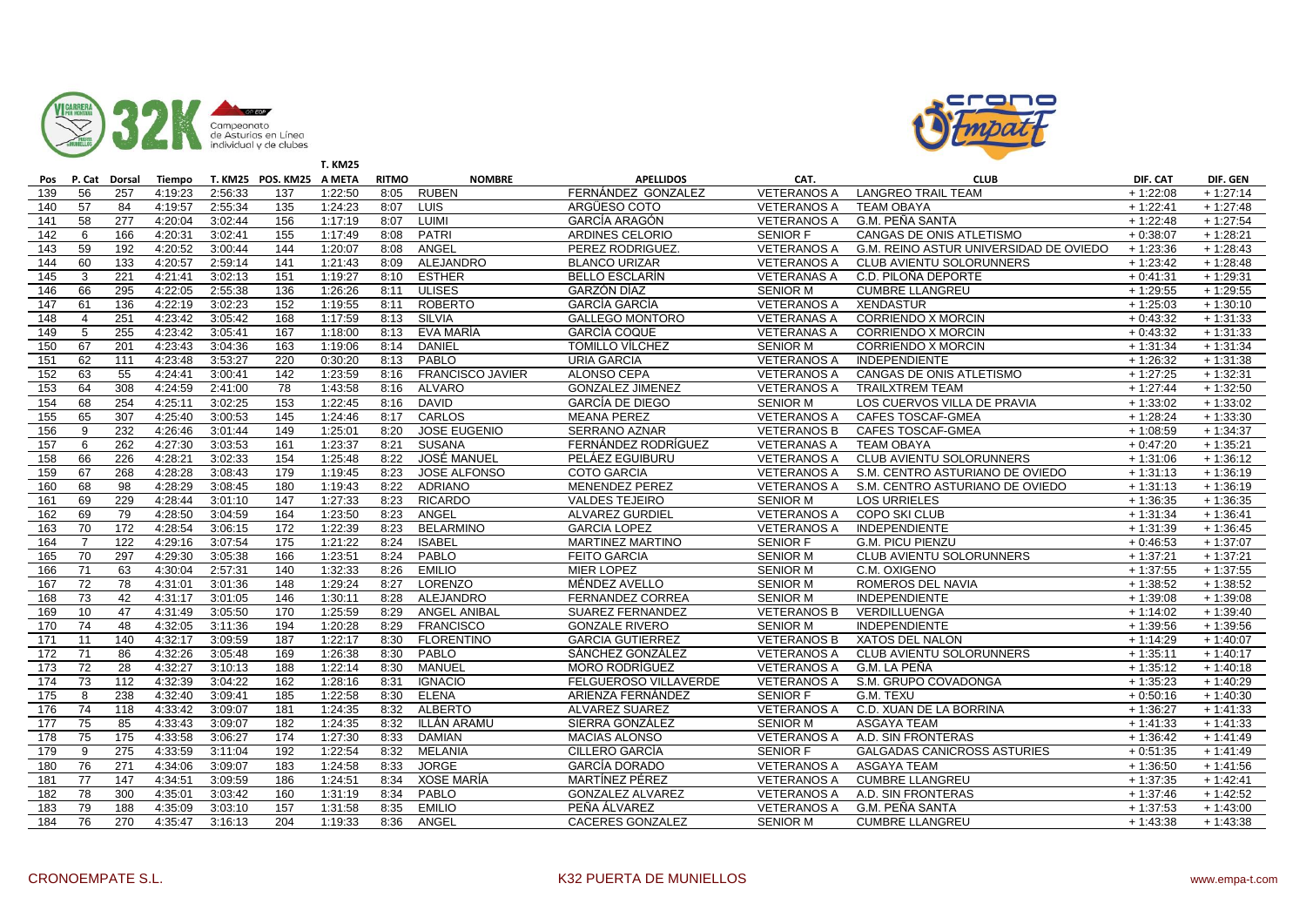



|     |                |                  |         |         |                          | <b>T. KM25</b> |              |                         |                         |                    |                                        |            |            |
|-----|----------------|------------------|---------|---------|--------------------------|----------------|--------------|-------------------------|-------------------------|--------------------|----------------------------------------|------------|------------|
| Pos |                | P. Cat Dorsal    | Tiempo  |         | T. KM25 POS. KM25 A META |                | <b>RITMO</b> | <b>NOMBRE</b>           | <b>APELLIDOS</b>        | CAT.               | <b>CLUB</b>                            | DIF. CAT   | DIF. GEN   |
| 139 | 56             | 257              | 4:19:23 | 2:56:33 | 137                      | 1:22:50        | 8:05         | <b>RUBEN</b>            | FERNÁNDEZ GONZALEZ      | <b>VETERANOS A</b> | <b>LANGREO TRAIL TEAM</b>              | $+1:22:08$ | $+1:27:14$ |
| 140 | 57             | 84               | 4:19:57 | 2:55:34 | 135                      | 1:24:23        | 8:07         | <b>LUIS</b>             | ARGÜESO COTO            | <b>VETERANOS A</b> | <b>TEAM OBAYA</b>                      | $+1:22:41$ | $+1:27:48$ |
| 141 | 58             | 277              | 4:20:04 | 3:02:44 | 156                      | 1:17:19        | 8:07         | LUIMI                   | GARCÍA ARAGÓN           | <b>VETERANOS A</b> | G.M. PEÑA SANTA                        | $+1:22:48$ | $+1:27:54$ |
| 142 | 6              | 166              | 4:20:31 | 3:02:41 | 155                      | 1:17:49        | 8:08         | <b>PATRI</b>            | ARDINES CELORIO         | <b>SENIOR F</b>    | CANGAS DE ONIS ATLETISMO               | $+0:38:07$ | $+1:28:21$ |
| 143 | 59             | 192              | 4:20:52 | 3:00:44 | 144                      | 1:20:07        | 8:08         | ANGEL                   | PEREZ RODRIGUEZ.        | <b>VETERANOS A</b> | G.M. REINO ASTUR UNIVERSIDAD DE OVIEDO | $+1:23:36$ | $+1:28:43$ |
| 144 | 60             | 133              | 4:20:57 | 2:59:14 | 141                      | 1:21:43        | 8:09         | ALEJANDRO               | <b>BLANCO URIZAR</b>    | <b>VETERANOS A</b> | <b>CLUB AVIENTU SOLORUNNERS</b>        | $+1:23:42$ | $+1:28:48$ |
| 145 | 3              | 221              | 4:21:41 | 3:02:13 | 151                      | 1:19:27        | 8:10         | <b>ESTHER</b>           | <b>BELLO ESCLARÍN</b>   | <b>VETERANAS A</b> | C.D. PILOÑA DEPORTE                    | $+0.41:31$ | $+1:29:31$ |
| 146 | 66             | 295              | 4:22:05 | 2:55:38 | 136                      | 1:26:26        | 8:11         | <b>ULISES</b>           | GARZÓN DÍAZ             | <b>SENIOR M</b>    | <b>CUMBRE LLANGREU</b>                 | $+1:29:55$ | $+1:29:55$ |
| 147 | 61             | 136              | 4:22:19 | 3:02:23 | 152                      | 1:19:55        | 8:11         | <b>ROBERTO</b>          | <b>GARCÍA GARCÍA</b>    | <b>VETERANOS A</b> | <b>XENDASTUR</b>                       | $+1:25:03$ | $+1:30:10$ |
| 148 | $\overline{4}$ | 251              | 4:23:42 | 3:05:42 | 168                      | 1:17:59        | 8:13         | <b>SILVIA</b>           | <b>GALLEGO MONTORO</b>  | <b>VETERANAS A</b> | <b>CORRIENDO X MORCIN</b>              | $+0.43.32$ | $+1:31:33$ |
| 149 | 5              | 255              | 4:23:42 | 3:05:41 | 167                      | 1:18:00        | 8:13         | EVA MARÍA               | <b>GARCÍA COQUE</b>     | <b>VETERANAS A</b> | <b>CORRIENDO X MORCIN</b>              | $+0.43:32$ | $+1:31:33$ |
| 150 | 67             | 201              | 4:23:43 | 3:04:36 | 163                      | 1:19:06        | 8:14         | <b>DANIEL</b>           | <b>TOMILLO VÍLCHEZ</b>  | <b>SENIOR M</b>    | <b>CORRIENDO X MORCIN</b>              | $+1:31:34$ | $+1:31:34$ |
| 151 | 62             | 111              | 4:23:48 | 3:53:27 | 220                      | 0:30:20        | 8:13         | PABLO                   | <b>URIA GARCIA</b>      | <b>VETERANOS A</b> | <b>INDEPENDIENTE</b>                   | $+1:26:32$ | $+1:31:38$ |
| 152 | 63             | 55               | 4:24:41 | 3:00:41 | 142                      | 1:23:59        | 8:16         | <b>FRANCISCO JAVIER</b> | <b>ALONSO CEPA</b>      | <b>VETERANOS A</b> | CANGAS DE ONIS ATLETISMO               | $+1:27:25$ | $+1:32:31$ |
| 153 | 64             | 308              | 4:24:59 | 2:41:00 | 78                       | 1:43:58        | 8:16         | <b>ALVARO</b>           | <b>GONZALEZ JIMENEZ</b> | <b>VETERANOS A</b> | <b>TRAILXTREM TEAM</b>                 | $+1:27:44$ | $+1:32:50$ |
| 154 | 68             | 254              | 4:25:11 | 3:02:25 | 153                      | 1:22:45        | 8:16         | <b>DAVID</b>            | <b>GARCÍA DE DIEGO</b>  | <b>SENIOR M</b>    | LOS CUERVOS VILLA DE PRAVIA            | $+1:33:02$ | $+1:33:02$ |
| 155 | 65             | 307              | 4:25:40 | 3:00:53 | 145                      | 1:24:46        | 8:17         | CARLOS                  | <b>MEANA PEREZ</b>      | <b>VETERANOS A</b> | <b>CAFES TOSCAF-GMEA</b>               | $+1:28:24$ | $+1:33:30$ |
| 156 | 9              | 232              | 4:26:46 | 3:01:44 | 149                      | 1:25:01        | 8:20         | <b>JOSE EUGENIO</b>     | <b>SERRANO AZNAR</b>    | <b>VETERANOS B</b> | CAFES TOSCAF-GMEA                      | $+1:08:59$ | $+1:34:37$ |
| 157 | 6              | 262              | 4:27:30 | 3:03:53 | 161                      | 1:23:37        | 8:21         | <b>SUSANA</b>           | FERNÁNDEZ RODRÍGUEZ     | <b>VETERANAS A</b> | <b>TEAM OBAYA</b>                      | $+0:47:20$ | $+1:35:21$ |
| 158 | 66             | 226              | 4:28:21 | 3:02:33 | 154                      | 1:25:48        | 8:22         | <b>JOSÉ MANUEL</b>      | PELÁEZ EGUIBURU         | <b>VETERANOS A</b> | CLUB AVIENTU SOLORUNNERS               | $+1:31:06$ | $+1:36:12$ |
| 159 | 67             | 268              | 4:28:28 | 3:08:43 | 179                      | 1:19:45        | 8:23         | <b>JOSE ALFONSO</b>     | <b>COTO GARCIA</b>      | <b>VETERANOS A</b> | S.M. CENTRO ASTURIANO DE OVIEDO        | $+1:31:13$ | $+1:36:19$ |
| 160 | 68             | 98               | 4:28:29 | 3:08:45 | 180                      | 1:19:43        | 8:22         | <b>ADRIANO</b>          | <b>MENENDEZ PEREZ</b>   | <b>VETERANOS A</b> | S.M. CENTRO ASTURIANO DE OVIEDO        | $+1:31:13$ | $+1:36:19$ |
| 161 | 69             | 229              | 4:28:44 | 3:01:10 | 147                      | 1:27:33        | 8:23         | <b>RICARDO</b>          | <b>VALDES TEJEIRO</b>   | <b>SENIOR M</b>    | <b>LOS URRIELES</b>                    | $+1:36:35$ | $+1:36:35$ |
| 162 | 69             | 79               | 4:28:50 | 3:04:59 | 164                      | 1:23:50        | 8:23         | ANGEL                   | <b>ALVAREZ GURDIEL</b>  | <b>VETERANOS A</b> | <b>COPO SKI CLUB</b>                   | $+1:31:34$ | $+1:36:41$ |
| 163 | 70             | $\overline{172}$ | 4:28:54 | 3:06:15 | 172                      | 1:22:39        | 8:23         | <b>BELARMINO</b>        | <b>GARCIA LOPEZ</b>     | <b>VETERANOS A</b> | INDEPENDIENTE                          | $+1:31:39$ | $+1:36:45$ |
| 164 | $\overline{7}$ | $\overline{122}$ | 4:29:16 | 3:07:54 | 175                      | 1:21:22        | 8:24         | <b>ISABEL</b>           | <b>MARTINEZ MARTINO</b> | <b>SENIOR F</b>    | <b>G.M. PICU PIENZU</b>                | $+0.46:53$ | $+1:37:07$ |
| 165 | 70             | 297              | 4:29:30 | 3:05:38 | 166                      | 1:23:51        | 8:24         | PABLO                   | <b>FEITO GARCIA</b>     | <b>SENIOR M</b>    | <b>CLUB AVIENTU SOLORUNNERS</b>        | $+1:37:21$ | $+1:37:21$ |
| 166 | 71             | 63               | 4:30:04 | 2:57:31 | 140                      | 1:32:33        | 8:26         | <b>EMILIO</b>           | <b>MIER LOPEZ</b>       | <b>SENIOR M</b>    | C.M. OXIGENO                           | $+1:37:55$ | $+1:37:55$ |
| 167 | 72             | 78               | 4:31:01 | 3:01:36 | 148                      | 1:29:24        | 8:27         | LORENZO                 | MÉNDEZ AVELLO           | <b>SENIOR M</b>    | ROMEROS DEL NAVIA                      | $+1:38:52$ | $+1:38:52$ |
| 168 | 73             | 42               | 4:31:17 | 3:01:05 | 146                      | 1:30:11        | 8:28         | ALEJANDRO               | <b>FERNANDEZ CORREA</b> | <b>SENIOR M</b>    | <b>INDEPENDIENTE</b>                   | $+1:39:08$ | $+1:39:08$ |
| 169 | 10             | 47               | 4:31:49 | 3:05:50 | 170                      | 1:25:59        | 8:29         | <b>ANGEL ANIBAL</b>     | SUAREZ FERNANDEZ        | <b>VETERANOS B</b> | <b>VERDILLUENGA</b>                    | $+1:14:02$ | $+1:39:40$ |
| 170 | 74             | 48               | 4:32:05 | 3:11:36 | 194                      | 1:20:28        | 8:29         | <b>FRANCISCO</b>        | <b>GONZALE RIVERO</b>   | <b>SENIOR M</b>    | <b>INDEPENDIENTE</b>                   | $+1:39:56$ | $+1:39:56$ |
| 171 | 11             | 140              | 4:32:17 | 3:09:59 | 187                      | 1:22:17        | 8:30         | <b>FLORENTINO</b>       | <b>GARCIA GUTIERREZ</b> | <b>VETERANOS B</b> | <b>XATOS DEL NALON</b>                 | $+1:14:29$ | $+1:40:07$ |
| 172 | 71             | 86               | 4:32:26 | 3:05:48 | 169                      | 1:26:38        | 8:30         | PABLO                   | SÁNCHEZ GONZÁLEZ        | <b>VETERANOS A</b> | CLUB AVIENTU SOLORUNNERS               | $+1:35:11$ | $+1:40:17$ |
| 173 | 72             | 28               | 4:32:27 | 3:10:13 | 188                      | 1:22:14        | 8:30         | MANUEL                  | <b>MORO RODRIGUEZ</b>   | <b>VETERANOS A</b> | G.M. LA PEÑA                           | $+1:35:12$ | $+1:40:18$ |
| 174 | 73             | 112              | 4:32:39 | 3:04:22 | 162                      | 1:28:16        | 8:31         | <b>IGNACIO</b>          | FELGUEROSO VILLAVERDE   | <b>VETERANOS A</b> | S.M. GRUPO COVADONGA                   | $+1:35:23$ | $+1:40:29$ |
| 175 | 8              | 238              | 4:32:40 | 3:09:41 | 185                      | 1:22:58        | 8:30         | <b>ELENA</b>            | ARIENZA FERNÁNDEZ       | SENIOR F           | G.M. TEXU                              | $+0.50:16$ | $+1:40:30$ |
| 176 | 74             | 118              | 4:33:42 | 3:09:07 | 181                      | 1:24:35        | 8:32         | <b>ALBERTO</b>          | <b>ALVAREZ SUAREZ</b>   | <b>VETERANOS A</b> | C.D. XUAN DE LA BORRINA                | $+1:36:27$ | $+1:41:33$ |
| 177 | 75             | 85               | 4:33:43 | 3:09:07 | 182                      | 1:24:35        | 8:32         | ILLÁN ARAMU             | SIERRA GONZÁLEZ         | <b>SENIOR M</b>    | <b>ASGAYA TEAM</b>                     | $+1:41:33$ | $+1:41:33$ |
| 178 | 75             | 175              | 4:33:58 | 3:06:27 | 174                      | 1:27:30        | 8:33         | <b>DAMIAN</b>           | <b>MACIAS ALONSO</b>    | <b>VETERANOS A</b> | A.D. SIN FRONTERAS                     | $+1:36:42$ | $+1:41:49$ |
| 179 | $\mathbf{Q}$   | 275              | 4:33:59 | 3:11:04 | 192                      | 1:22:54        | 8:32         | MELANIA                 | CILLERO GARCÍA          | <b>SENIOR F</b>    | <b>GALGADAS CANICROSS ASTURIES</b>     | $+0.51:35$ | $+1:41:49$ |
| 180 | 76             | 271              | 4:34:06 | 3:09:07 | 183                      | 1:24:58        | 8:33         | <b>JORGE</b>            | <b>GARCÍA DORADO</b>    | <b>VETERANOS A</b> | <b>ASGAYA TEAM</b>                     | $+1:36:50$ | $+1:41:56$ |
| 181 | 77             | 147              | 4:34:51 | 3:09:59 | 186                      | 1:24:51        | 8:34         | XOSE MARÍA              | MARTÍNEZ PÉREZ          | <b>VETERANOS A</b> | <b>CUMBRE LLANGREU</b>                 | $+1:37:35$ | $+1.42:41$ |
| 182 | 78             | 300              | 4:35:01 | 3:03:42 | 160                      | 1:31:19        | 8:34         | PABLO                   | <b>GONZALEZ ALVAREZ</b> | <b>VETERANOS A</b> | A.D. SIN FRONTERAS                     | $+1:37:46$ | $+1:42:52$ |
| 183 | 79             | 188              | 4:35:09 | 3:03:10 | 157                      | 1:31:58        | 8:35         | <b>EMILIO</b>           | PEÑA ÁLVAREZ            | <b>VETERANOS A</b> | G.M. PEÑA SANTA                        | $+1:37:53$ | $+1:43:00$ |
| 184 | 76             | 270              | 4:35:47 | 3:16:13 | 204                      | 1:19:33        | 8:36         | ANGEL                   | CACERES GONZALEZ        | <b>SENIOR M</b>    | <b>CUMBRE LLANGREU</b>                 | $+1:43:38$ | $+1:43:38$ |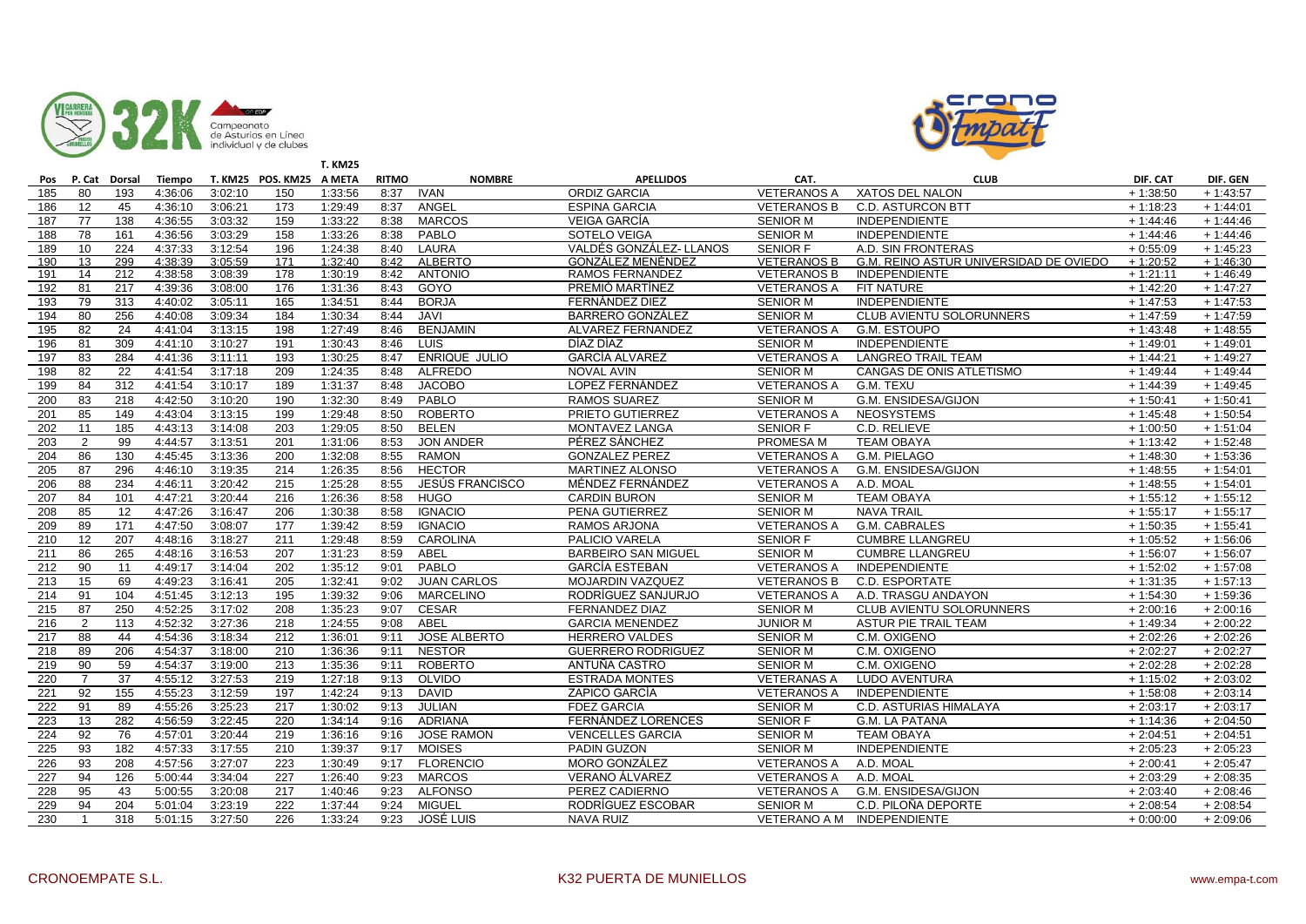



|     |                |        |         |         |                          | <b>T. KM25</b> |              |                        |                            |                    |                                        |            |            |
|-----|----------------|--------|---------|---------|--------------------------|----------------|--------------|------------------------|----------------------------|--------------------|----------------------------------------|------------|------------|
| Pos | P. Cat         | Dorsal | Tiempo  |         | T. KM25 POS. KM25 A META |                | <b>RITMO</b> | <b>NOMBRE</b>          | <b>APELLIDOS</b>           | CAT.               | <b>CLUB</b>                            | DIF. CAT   | DIF. GEN   |
| 185 | 80             | 193    | 4:36:06 | 3:02:10 | 150                      | 1:33:56        | 8:37         | <b>IVAN</b>            | <b>ORDIZ GARCIA</b>        | <b>VETERANOS A</b> | <b>XATOS DEL NALON</b>                 | $+1:38:50$ | $+1:43:57$ |
| 186 | 12             | 45     | 4:36:10 | 3:06:21 | 173                      | 1:29:49        | 8:37         | ANGEL                  | <b>ESPINA GARCIA</b>       | <b>VETERANOS B</b> | <b>C.D. ASTURCON BTT</b>               | $+1:18:23$ | $+1:44:01$ |
| 187 | 77             | 138    | 4:36:55 | 3:03:32 | 159                      | 1:33:22        | 8:38         | <b>MARCOS</b>          | <b>VEIGA GARCIA</b>        | <b>SENIOR M</b>    | <b>INDEPENDIENTE</b>                   | $+1:44:46$ | $+1:44:46$ |
| 188 | 78             | 161    | 4:36:56 | 3:03:29 | 158                      | 1:33:26        | 8:38         | PABLO                  | SOTELO VEIGA               | <b>SENIOR M</b>    | <b>INDEPENDIENTE</b>                   | $+1:44:46$ | $+1:44:46$ |
| 189 | 10             | 224    | 4:37:33 | 3:12:54 | 196                      | 1:24:38        | 8:40         | LAURA                  | VALDÉS GONZÁLEZ- LLANOS    | <b>SENIOR F</b>    | A.D. SIN FRONTERAS                     | $+0.55:09$ | $+1:45:23$ |
| 190 | 13             | 299    | 4:38:39 | 3:05:59 | 171                      | 1:32:40        | 8:42         | <b>ALBERTO</b>         | <b>GONZALEZ MENENDEZ</b>   | <b>VETERANOS B</b> | G.M. REINO ASTUR UNIVERSIDAD DE OVIEDO | $+1:20:52$ | $+1.46:30$ |
| 191 | 14             | 212    | 4:38:58 | 3:08:39 | 178                      | 1:30:19        | 8:42         | <b>ANTONIO</b>         | RAMOS FERNANDEZ            | <b>VETERANOS B</b> | INDEPENDIENTE                          | $+1:21:11$ | $+1:46:49$ |
| 192 | 81             | 217    | 4:39:36 | 3:08:00 | 176                      | 1:31:36        | 8:43         | GOYO                   | PREMIÓ MARTÍNEZ            | <b>VETERANOS A</b> | FIT NATURE                             | $+1:42:20$ | $+1:47:27$ |
| 193 | 79             | 313    | 4:40:02 | 3:05:11 | 165                      | 1:34:51        | 8:44         | <b>BORJA</b>           | FERNÁNDEZ DIEZ             | <b>SENIOR M</b>    | <b>INDEPENDIENTE</b>                   | $+1:47:53$ | $+1:47:53$ |
| 194 | 80             | 256    | 4:40:08 | 3:09:34 | 184                      | 1:30:34        | 8:44         | <b>JAVI</b>            | <b>BARRERO GONZÁLEZ</b>    | <b>SENIOR M</b>    | CLUB AVIENTU SOLORUNNERS               | $+1:47:59$ | $+1:47:59$ |
| 195 | 82             | 24     | 4:41:04 | 3:13:15 | 198                      | 1:27:49        | 8:46         | <b>BENJAMIN</b>        | ALVAREZ FERNANDEZ          | <b>VETERANOS A</b> | <b>G.M. ESTOUPO</b>                    | $+1:43:48$ | $+1:48:55$ |
| 196 | 81             | 309    | 4:41:10 | 3:10:27 | 191                      | 1:30:43        | 8:46         | <b>LUIS</b>            | DÍAZ DÍAZ                  | <b>SENIOR M</b>    | <b>INDEPENDIENTE</b>                   | $+1:49:01$ | $+1:49:01$ |
| 197 | 83             | 284    | 4:41:36 | 3:11:11 | 193                      | 1:30:25        | 8:47         | <b>ENRIQUE JULIO</b>   | <b>GARCÍA ALVAREZ</b>      | <b>VETERANOS A</b> | <b>LANGREO TRAIL TEAM</b>              | $+1:44:21$ | $+1:49:27$ |
| 198 | 82             | 22     | 4:41:54 | 3:17:18 | 209                      | 1:24:35        | 8:48         | <b>ALFREDO</b>         | <b>NOVAL AVIN</b>          | <b>SENIOR M</b>    | CANGAS DE ONIS ATLETISMO               | $+1:49:44$ | $+1:49:44$ |
| 199 | 84             | 312    | 4:41:54 | 3:10:17 | 189                      | 1:31:37        | 8:48         | <b>JACOBO</b>          | LOPEZ FERNÁNDEZ            | <b>VETERANOS A</b> | G.M. TEXU                              | $+1:44:39$ | $+1:49:45$ |
| 200 | 83             | 218    | 4:42:50 | 3:10:20 | 190                      | 1:32:30        | 8:49         | PABLO                  | <b>RAMOS SUAREZ</b>        | <b>SENIOR M</b>    | G.M. ENSIDESA/GIJON                    | $+1:50:41$ | $+1:50:41$ |
| 201 | 85             | 149    | 4:43:04 | 3:13:15 | 199                      | 1:29:48        | 8:50         | <b>ROBERTO</b>         | PRIETO GUTIERREZ           | <b>VETERANOS A</b> | <b>NEOSYSTEMS</b>                      | $+1:45:48$ | $+1:50:54$ |
| 202 | 11             | 185    | 4:43:13 | 3:14:08 | 203                      | 1:29:05        | 8:50         | <b>BELEN</b>           | <b>MONTAVEZ LANGA</b>      | <b>SENIOR F</b>    | C.D. RELIEVE                           | $+1:00:50$ | $+1:51:04$ |
| 203 | 2              | 99     | 4:44:57 | 3:13:51 | 201                      | 1:31:06        | 8:53         | JON ANDER              | PÉREZ SÁNCHEZ              | PROMESA M          | <b>TEAM OBAYA</b>                      | $+1:13:42$ | $+1:52:48$ |
| 204 | 86             | 130    | 4:45:45 | 3:13:36 | 200                      | 1:32:08        | 8:55         | <b>RAMON</b>           | <b>GONZALEZ PEREZ</b>      | <b>VETERANOS A</b> | G.M. PIELAGO                           | $+1:48:30$ | $+1:53:36$ |
| 205 | 87             | 296    | 4:46:10 | 3:19:35 | 214                      | 1:26:35        | 8:56         | <b>HECTOR</b>          | <b>MARTINEZ ALONSO</b>     | <b>VETERANOS A</b> | G.M. ENSIDESA/GIJON                    | $+1:48:55$ | $+1:54:01$ |
| 206 | 88             | 234    | 4:46:11 | 3:20:42 | 215                      | 1:25:28        | 8:55         | <b>JESÚS FRANCISCO</b> | MÉNDEZ FERNÁNDEZ           | <b>VETERANOS A</b> | A.D. MOAL                              | $+1:48:55$ | $+1:54:01$ |
| 207 | 84             | 101    | 4:47:21 | 3:20:44 | 216                      | 1:26:36        | 8:58         | <b>HUGO</b>            | <b>CARDIN BURON</b>        | <b>SENIOR M</b>    | <b>TEAM OBAYA</b>                      | $+1:55:12$ | $+1:55:12$ |
| 208 | 85             | 12     | 4:47:26 | 3:16:47 | 206                      | 1:30:38        | 8:58         | <b>IGNACIO</b>         | PENA GUTIERREZ             | <b>SENIOR M</b>    | <b>NAVA TRAIL</b>                      | $+1:55:17$ | $+1:55:17$ |
| 209 | 89             | 171    | 4:47:50 | 3:08:07 | 177                      | 1:39:42        | 8:59         | <b>IGNACIO</b>         | RAMOS ARJONA               | <b>VETERANOS A</b> | G.M. CABRALES                          | $+1:50:35$ | $+1:55:41$ |
| 210 | 12             | 207    | 4:48:16 | 3:18:27 | 211                      | 1:29:48        | 8:59         | CAROLINA               | <b>PALICIO VARELA</b>      | <b>SENIOR F</b>    | <b>CUMBRE LLANGREU</b>                 | $+1:05:52$ | $+1:56:06$ |
| 211 | 86             | 265    | 4:48:16 | 3:16:53 | 207                      | 1:31:23        | 8:59         | ABEL                   | <b>BARBEIRO SAN MIGUEL</b> | <b>SENIOR M</b>    | <b>CUMBRE LLANGREU</b>                 | $+1:56:07$ | $+1:56:07$ |
| 212 | 90             | 11     | 4:49:17 | 3:14:04 | 202                      | 1:35:12        | 9:01         | PABLO                  | <b>GARCÍA ESTEBAN</b>      | <b>VETERANOS A</b> | <b>INDEPENDIENTE</b>                   | $+1:52:02$ | $+1:57:08$ |
| 213 | 15             | 69     | 4:49:23 | 3:16:41 | 205                      | 1:32:41        | 9:02         | <b>JUAN CARLOS</b>     | <b>MOJARDIN VAZQUEZ</b>    | <b>VETERANOS B</b> | C.D. ESPORTATE                         | $+1:31:35$ | $+1:57:13$ |
| 214 | 91             | 104    | 4:51:45 | 3:12:13 | 195                      | 1:39:32        | 9:06         | <b>MARCELINO</b>       | RODRÍGUEZ SANJURJO         | <b>VETERANOS A</b> | A.D. TRASGU ANDAYON                    | $+1:54:30$ | $+1:59:36$ |
| 215 | 87             | 250    | 4:52:25 | 3:17:02 | 208                      | 1:35:23        | 9:07         | <b>CESAR</b>           | <b>FERNANDEZ DIAZ</b>      | <b>SENIOR M</b>    | CLUB AVIENTU SOLORUNNERS               | $+2:00:16$ | $+2:00:16$ |
| 216 | 2              | 113    | 4:52:32 | 3:27:36 | 218                      | 1:24:55        | 9:08         | ABEL                   | <b>GARCIA MENENDEZ</b>     | <b>JUNIOR M</b>    | ASTUR PIE TRAIL TEAM                   | $+1:49:34$ | $+2:00:22$ |
| 217 | 88             | 44     | 4:54:36 | 3:18:34 | 212                      | 1:36:01        | 9:11         | <b>JOSE ALBERTO</b>    | <b>HERRERO VALDES</b>      | <b>SENIOR M</b>    | C.M. OXIGENO                           | $+2:02:26$ | $+2:02:26$ |
| 218 | 89             | 206    | 4:54:37 | 3:18:00 | 210                      | 1:36:36        | 9:11         | <b>NESTOR</b>          | <b>GUERRERO RODRIGUEZ</b>  | <b>SENIOR M</b>    | C.M. OXIGENO                           | $+2:02:27$ | $+2:02:27$ |
| 219 | 90             | 59     | 4:54:37 | 3:19:00 | 213                      | 1:35:36        | 9:11         | <b>ROBERTO</b>         | ANTUÑA CASTRO              | <b>SENIOR M</b>    | C.M. OXIGENO                           | $+2:02:28$ | $+2:02:28$ |
| 220 | $\overline{7}$ | 37     | 4:55:12 | 3:27:53 | 219                      | 1:27:18        | 9:13         | OLVIDO                 | <b>ESTRADA MONTES</b>      | <b>VETERANAS A</b> | LUDO AVENTURA                          | $+1:15:02$ | $+2:03:02$ |
| 221 | 92             | 155    | 4:55:23 | 3:12:59 | 197                      | 1:42:24        | 9:13         | <b>DAVID</b>           | <b>ZAPICO GARCÍA</b>       | <b>VETERANOS A</b> | <b>INDEPENDIENTE</b>                   | $+1:58:08$ | $+2:03:14$ |
| 222 | 91             | 89     | 4:55:26 | 3:25:23 | 217                      | 1:30:02        | 9:13         | <b>JULIAN</b>          | <b>FDEZ GARCIA</b>         | <b>SENIOR M</b>    | C.D. ASTURIAS HIMALAYA                 | $+2:03:17$ | $+2:03:17$ |
| 223 | 13             | 282    | 4:56:59 | 3:22:45 | 220                      | 1:34:14        | 9:16         | <b>ADRIANA</b>         | FERNÁNDEZ LORENCES         | <b>SENIOR F</b>    | <b>G.M. LA PATANA</b>                  | $+1:14:36$ | $+2:04:50$ |
| 224 | 92             | 76     | 4:57:01 | 3:20:44 | 219                      | 1:36:16        | 9:16         | <b>JOSE RAMON</b>      | <b>VENCELLES GARCIA</b>    | <b>SENIOR M</b>    | <b>TEAM OBAYA</b>                      | $+2:04:51$ | $+2:04:51$ |
| 225 | 93             | 182    | 4:57:33 | 3:17:55 | 210                      | 1:39:37        | 9:17         | <b>MOISES</b>          | PADIN GUZON                | <b>SENIOR M</b>    | <b>INDEPENDIENTE</b>                   | $+2:05:23$ | $+2:05:23$ |
| 226 | 93             | 208    | 4:57:56 | 3:27:07 | 223                      | 1:30:49        | 9:17         | <b>FLORENCIO</b>       | MORO GONZÁLEZ              | <b>VETERANOS A</b> | A.D. MOAL                              | $+2:00:41$ | $+2:05:47$ |
| 227 | 94             | 126    | 5:00:44 | 3:34:04 | 227                      | 1:26:40        | 9:23         | <b>MARCOS</b>          | <b>VERANO ÁLVAREZ</b>      | <b>VETERANOS A</b> | A.D. MOAL                              | $+2:03:29$ | $+2:08:35$ |
| 228 | 95             | 43     | 5:00:55 | 3:20:08 | 217                      | 1:40:46        | 9:23         | <b>ALFONSO</b>         | PEREZ CADIERNO             | <b>VETERANOS A</b> | G.M. ENSIDESA/GIJON                    | $+2:03:40$ | $+2:08:46$ |
| 229 | 94             | 204    | 5:01:04 | 3:23:19 | 222                      | 1:37:44        | 9:24         | <b>MIGUEL</b>          | RODRÍGUEZ ESCOBAR          | <b>SENIOR M</b>    | C.D. PILOÑA DEPORTE                    | $+2:08:54$ | $+2:08:54$ |
| 230 | $\mathbf{1}$   | 318    | 5:01:15 | 3:27:50 | 226                      | 1:33:24        | 9:23         | <b>JOSÉ LUIS</b>       | <b>NAVA RUIZ</b>           | VETERANO A M       | INDEPENDIENTE                          | $+0:00:00$ | $+2:09:06$ |